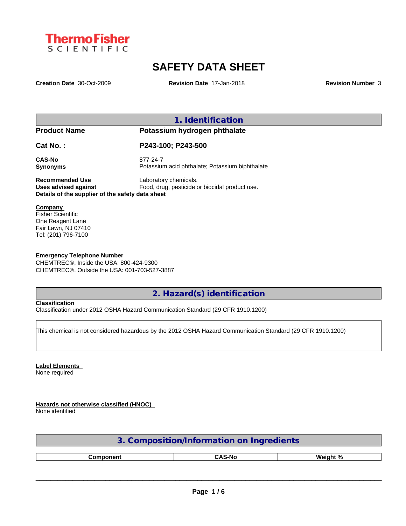

# **SAFETY DATA SHEET**

**Creation Date** 30-Oct-2009 **Revision Date** 17-Jan-2018 **Revision Number** 3

**1. Identification**

**Product Name Potassium hydrogen phthalate**

**Cat No. : P243-100; P243-500**

**CAS-No** 877-24-7

**Synonyms** Potassium acid phthalate; Potassium biphthalate

**Recommended Use** Laboratory chemicals.<br> **Uses advised against** Food, drug, pesticide of Food, drug, pesticide or biocidal product use. **Details of the supplier of the safety data sheet**

**Company** 

Fisher Scientific One Reagent Lane Fair Lawn, NJ 07410 Tel: (201) 796-7100

### **Emergency Telephone Number**

CHEMTREC®, Inside the USA: 800-424-9300 CHEMTRECÒ, Outside the USA: 001-703-527-3887

**2. Hazard(s) identification**

**Classification**

Classification under 2012 OSHA Hazard Communication Standard (29 CFR 1910.1200)

This chemical is not considered hazardous by the 2012 OSHA Hazard Communication Standard (29 CFR 1910.1200)

**Label Elements** None required

**Hazards not otherwise classified (HNOC)**

None identified

| <b>on</b><br>ion/Information<br>Indredients |               |          |  |  |  |  |
|---------------------------------------------|---------------|----------|--|--|--|--|
|                                             |               |          |  |  |  |  |
| Component                                   | <b>CAS-No</b> | Weight % |  |  |  |  |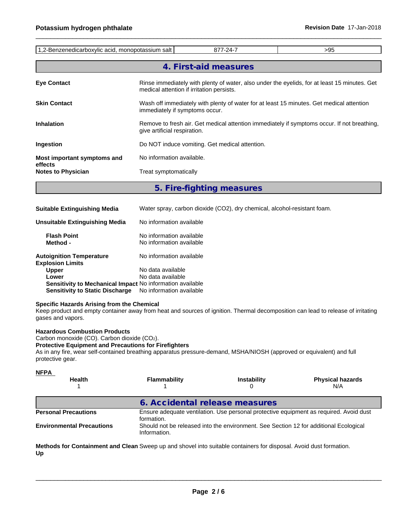| 1,2-Benzenedicarboxylic acid, monopotassium salt |                           | 877-24-7                                                                                                                                  | >95 |  |  |  |  |  |  |
|--------------------------------------------------|---------------------------|-------------------------------------------------------------------------------------------------------------------------------------------|-----|--|--|--|--|--|--|
|                                                  |                           | 4. First-aid measures                                                                                                                     |     |  |  |  |  |  |  |
| <b>Eye Contact</b>                               |                           | Rinse immediately with plenty of water, also under the eyelids, for at least 15 minutes. Get<br>medical attention if irritation persists. |     |  |  |  |  |  |  |
| <b>Skin Contact</b>                              |                           | Wash off immediately with plenty of water for at least 15 minutes. Get medical attention<br>immediately if symptoms occur.                |     |  |  |  |  |  |  |
| <b>Inhalation</b>                                |                           | Remove to fresh air. Get medical attention immediately if symptoms occur. If not breathing,<br>give artificial respiration.               |     |  |  |  |  |  |  |
| Ingestion                                        |                           | Do NOT induce vomiting. Get medical attention.                                                                                            |     |  |  |  |  |  |  |
| Most important symptoms and                      | No information available. |                                                                                                                                           |     |  |  |  |  |  |  |
| effects<br><b>Notes to Physician</b>             | Treat symptomatically     |                                                                                                                                           |     |  |  |  |  |  |  |
|                                                  |                           |                                                                                                                                           |     |  |  |  |  |  |  |

**5. Fire-fighting measures**

| <b>Suitable Extinguishing Media</b>                        | Water spray, carbon dioxide (CO2), dry chemical, alcohol-resistant foam. |
|------------------------------------------------------------|--------------------------------------------------------------------------|
| <b>Unsuitable Extinguishing Media</b>                      | No information available                                                 |
| <b>Flash Point</b><br>Method -                             | No information available<br>No information available                     |
| <b>Autoignition Temperature</b><br><b>Explosion Limits</b> | No information available                                                 |
| <b>Upper</b>                                               | No data available                                                        |
| Lower                                                      | No data available                                                        |
| Sensitivity to Mechanical Impact No information available  |                                                                          |
| <b>Sensitivity to Static Discharge</b>                     | No information available                                                 |

### **Specific Hazards Arising from the Chemical**

Keep product and empty container away from heat and sources of ignition. Thermal decomposition can lead to release of irritating gases and vapors.

#### **Hazardous Combustion Products**

Carbon monoxide (CO). Carbon dioxide (CO2).

### **Protective Equipment and Precautions for Firefighters**

As in any fire, wear self-contained breathing apparatus pressure-demand, MSHA/NIOSH (approved or equivalent) and full protective gear.

| 6. Accidental release measures<br>Ensure adequate ventilation. Use personal protective equipment as required. Avoid dust<br>formation.<br>Should not be released into the environment. See Section 12 for additional Ecological | <b>NFPA</b><br><b>Health</b>     | <b>Flammability</b> | <b>Instability</b> | <b>Physical hazards</b><br>N/A |
|---------------------------------------------------------------------------------------------------------------------------------------------------------------------------------------------------------------------------------|----------------------------------|---------------------|--------------------|--------------------------------|
|                                                                                                                                                                                                                                 |                                  |                     |                    |                                |
|                                                                                                                                                                                                                                 | <b>Personal Precautions</b>      |                     |                    |                                |
|                                                                                                                                                                                                                                 | <b>Environmental Precautions</b> | Information.        |                    |                                |

**Methods for Containment and Clean** Sweep up and shovel into suitable containers for disposal. Avoid dust formation. **Up**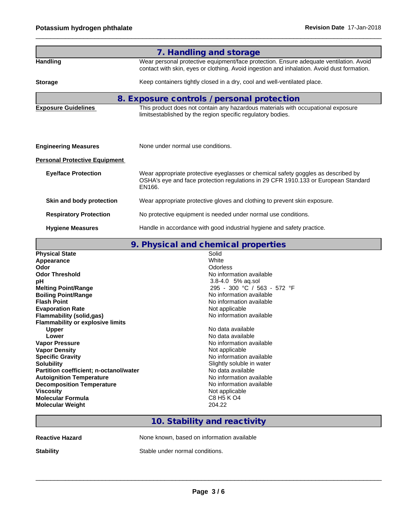|                                      | 7. Handling and storage                                                                                                                                                              |
|--------------------------------------|--------------------------------------------------------------------------------------------------------------------------------------------------------------------------------------|
| <b>Handling</b>                      | Wear personal protective equipment/face protection. Ensure adequate ventilation. Avoid<br>contact with skin, eyes or clothing. Avoid ingestion and inhalation. Avoid dust formation. |
| <b>Storage</b>                       | Keep containers tightly closed in a dry, cool and well-ventilated place.                                                                                                             |
|                                      | 8. Exposure controls / personal protection                                                                                                                                           |
| <b>Exposure Guidelines</b>           | This product does not contain any hazardous materials with occupational exposure<br>limitsestablished by the region specific regulatory bodies.                                      |
| <b>Engineering Measures</b>          | None under normal use conditions.                                                                                                                                                    |
| <b>Personal Protective Equipment</b> |                                                                                                                                                                                      |
| <b>Eye/face Protection</b>           | Wear appropriate protective eyeglasses or chemical safety goggles as described by<br>OSHA's eye and face protection regulations in 29 CFR 1910.133 or European Standard<br>EN166.    |
| Skin and body protection             | Wear appropriate protective gloves and clothing to prevent skin exposure.                                                                                                            |
| <b>Respiratory Protection</b>        | No protective equipment is needed under normal use conditions.                                                                                                                       |
| <b>Hygiene Measures</b>              | Handle in accordance with good industrial hygiene and safety practice.                                                                                                               |

|                                               | 9. Physical and chemical properties |  |
|-----------------------------------------------|-------------------------------------|--|
| <b>Physical State</b>                         | Solid                               |  |
| Appearance                                    | White                               |  |
| Odor                                          | Odorless                            |  |
| <b>Odor Threshold</b>                         | No information available            |  |
| рH                                            | 3.8-4.0 5% aq.sol                   |  |
| <b>Melting Point/Range</b>                    | 295 - 300 °C / 563 - 572 °F         |  |
| <b>Boiling Point/Range</b>                    | No information available            |  |
| <b>Flash Point</b>                            | No information available            |  |
| <b>Evaporation Rate</b>                       | Not applicable                      |  |
| <b>Flammability (solid,gas)</b>               | No information available            |  |
| <b>Flammability or explosive limits</b>       |                                     |  |
| <b>Upper</b>                                  | No data available                   |  |
| Lower                                         | No data available                   |  |
| <b>Vapor Pressure</b>                         | No information available            |  |
| <b>Vapor Density</b>                          | Not applicable                      |  |
| <b>Specific Gravity</b>                       | No information available            |  |
| <b>Solubility</b>                             | Slightly soluble in water           |  |
| <b>Partition coefficient; n-octanol/water</b> | No data available                   |  |
| <b>Autoignition Temperature</b>               | No information available            |  |
| <b>Decomposition Temperature</b>              | No information available            |  |
| <b>Viscosity</b>                              | Not applicable                      |  |
| <b>Molecular Formula</b>                      | C8 H5 K O4                          |  |
| <b>Molecular Weight</b>                       | 204.22                              |  |
|                                               |                                     |  |

## **10. Stability and reactivity**

**Reactive Hazard None known, based on information available** 

**Stability** Stable under normal conditions.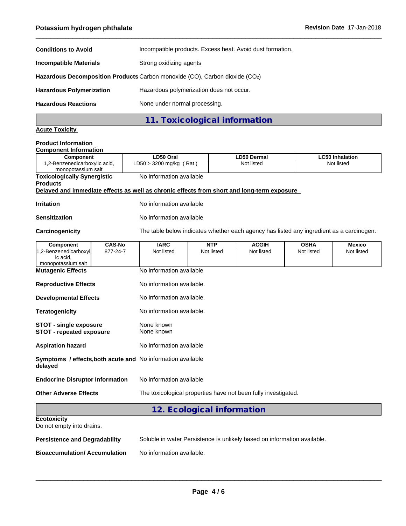| <b>Conditions to Avoid</b>                                                  | Incompatible products. Excess heat. Avoid dust formation. |  |  |  |  |  |  |
|-----------------------------------------------------------------------------|-----------------------------------------------------------|--|--|--|--|--|--|
| <b>Incompatible Materials</b>                                               | Strong oxidizing agents                                   |  |  |  |  |  |  |
| Hazardous Decomposition Products Carbon monoxide (CO), Carbon dioxide (CO2) |                                                           |  |  |  |  |  |  |
| <b>Hazardous Polymerization</b>                                             | Hazardous polymerization does not occur.                  |  |  |  |  |  |  |
| <b>Hazardous Reactions</b>                                                  | None under normal processing.                             |  |  |  |  |  |  |
|                                                                             | 11. Toxicological information                             |  |  |  |  |  |  |

# **Acute Toxicity**

### **Product Information**

| <b>Component Information</b>                                                               |                           |                            |                                                                                          |             |                        |  |  |  |  |
|--------------------------------------------------------------------------------------------|---------------------------|----------------------------|------------------------------------------------------------------------------------------|-------------|------------------------|--|--|--|--|
| Component                                                                                  | LD50 Oral                 |                            | <b>LD50 Dermal</b>                                                                       |             | <b>LC50 Inhalation</b> |  |  |  |  |
| 1,2-Benzenedicarboxylic acid,<br>monopotassium salt                                        | $LD50 > 3200$ mg/kg (Rat) |                            | Not listed                                                                               |             | Not listed             |  |  |  |  |
| <b>Toxicologically Synergistic</b><br><b>Products</b>                                      | No information available  |                            |                                                                                          |             |                        |  |  |  |  |
| Delayed and immediate effects as well as chronic effects from short and long-term exposure |                           |                            |                                                                                          |             |                        |  |  |  |  |
| <b>Irritation</b>                                                                          |                           | No information available   |                                                                                          |             |                        |  |  |  |  |
| <b>Sensitization</b>                                                                       |                           | No information available   |                                                                                          |             |                        |  |  |  |  |
| Carcinogenicity                                                                            |                           |                            | The table below indicates whether each agency has listed any ingredient as a carcinogen. |             |                        |  |  |  |  |
| <b>CAS-No</b><br>Component                                                                 | <b>IARC</b>               | <b>NTP</b>                 | <b>ACGIH</b>                                                                             | <b>OSHA</b> | <b>Mexico</b>          |  |  |  |  |
| 877-24-7<br>1,2-Benzenedicarboxyl<br>ic acid.<br>monopotassium salt                        | Not listed                | Not listed                 | Not listed                                                                               | Not listed  | Not listed             |  |  |  |  |
| <b>Mutagenic Effects</b>                                                                   | No information available  |                            |                                                                                          |             |                        |  |  |  |  |
| <b>Reproductive Effects</b>                                                                | No information available. |                            |                                                                                          |             |                        |  |  |  |  |
| <b>Developmental Effects</b>                                                               | No information available. |                            |                                                                                          |             |                        |  |  |  |  |
| <b>Teratogenicity</b>                                                                      | No information available. |                            |                                                                                          |             |                        |  |  |  |  |
| <b>STOT - single exposure</b><br><b>STOT - repeated exposure</b>                           | None known<br>None known  |                            |                                                                                          |             |                        |  |  |  |  |
| <b>Aspiration hazard</b>                                                                   | No information available  |                            |                                                                                          |             |                        |  |  |  |  |
| Symptoms / effects, both acute and No information available<br>delayed                     |                           |                            |                                                                                          |             |                        |  |  |  |  |
| <b>Endocrine Disruptor Information</b>                                                     | No information available  |                            |                                                                                          |             |                        |  |  |  |  |
| <b>Other Adverse Effects</b>                                                               |                           |                            | The toxicological properties have not been fully investigated.                           |             |                        |  |  |  |  |
|                                                                                            |                           | 12. Ecological information |                                                                                          |             |                        |  |  |  |  |
| <b>Ecotoxicity</b><br>Do not empty into drains.                                            |                           |                            |                                                                                          |             |                        |  |  |  |  |
| المتماثلة والمراميس<br><b>Develote</b><br>4 B.                                             |                           |                            | Coluble in water Demisteres is unlikely besed on information ovailable                   |             |                        |  |  |  |  |

**Persistence and Degradability** Soluble in water Persistence is unlikely based on information available.

**Bioaccumulation/ Accumulation** No information available.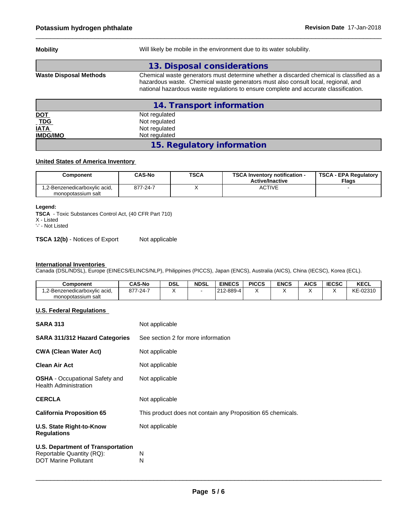| <b>Mobility</b>               | Will likely be mobile in the environment due to its water solubility.                                                                                                                                                                                                 |  |  |  |  |  |
|-------------------------------|-----------------------------------------------------------------------------------------------------------------------------------------------------------------------------------------------------------------------------------------------------------------------|--|--|--|--|--|
|                               | 13. Disposal considerations                                                                                                                                                                                                                                           |  |  |  |  |  |
| <b>Waste Disposal Methods</b> | Chemical waste generators must determine whether a discarded chemical is classified as a<br>hazardous waste. Chemical waste generators must also consult local, regional, and<br>national hazardous waste regulations to ensure complete and accurate classification. |  |  |  |  |  |
|                               | 14. Transport information                                                                                                                                                                                                                                             |  |  |  |  |  |
| <b>DOT</b>                    | Not regulated                                                                                                                                                                                                                                                         |  |  |  |  |  |
| $-TDG$                        | Not regulated                                                                                                                                                                                                                                                         |  |  |  |  |  |
| <b>IATA</b>                   | Not regulated                                                                                                                                                                                                                                                         |  |  |  |  |  |
| <b>IMDG/IMO</b>               | Not regulated                                                                                                                                                                                                                                                         |  |  |  |  |  |

### **15. Regulatory information**

### **United States of America Inventory**

| Component                                          | <b>CAS-No</b> | <b>TSCA</b> | <b>TSCA Inventory notification -</b><br><b>Active/Inactive</b> | <b>TSCA - EPA Regulatory</b><br>Flags |
|----------------------------------------------------|---------------|-------------|----------------------------------------------------------------|---------------------------------------|
| .2-Benzenedicarboxylic acid,<br>monopotassium salt | 877-24-7      |             | <b>ACTIVE</b>                                                  |                                       |

### **Legend:**

**TSCA** - Toxic Substances Control Act, (40 CFR Part 710) X - Listed

'-' - Not Listed

**TSCA 12(b)** - Notices of Export Not applicable

#### **International Inventories**

Canada (DSL/NDSL), Europe (EINECS/ELINCS/NLP), Philippines (PICCS), Japan (ENCS), Australia (AICS), China (IECSC), Korea (ECL).

| Component                     | <b>CAS-No</b>               | <b>DSL</b> | <b>NDSL</b> | <b>EINECS</b>                | <b>PICCS</b> | <b>ENCS</b> | <b>AICS</b> | <b>IECSC</b> | KECL     |
|-------------------------------|-----------------------------|------------|-------------|------------------------------|--------------|-------------|-------------|--------------|----------|
| 1.2-Benzenedicarboxvlic acid. | 077<br>$(-24 - 7)$<br>، ، ن |            |             | 1212-889-4<br>$\overline{a}$ |              |             |             |              | KE-02310 |
| monopotassium salt            |                             |            |             |                              |              |             |             |              |          |

### **U.S. Federal Regulations**